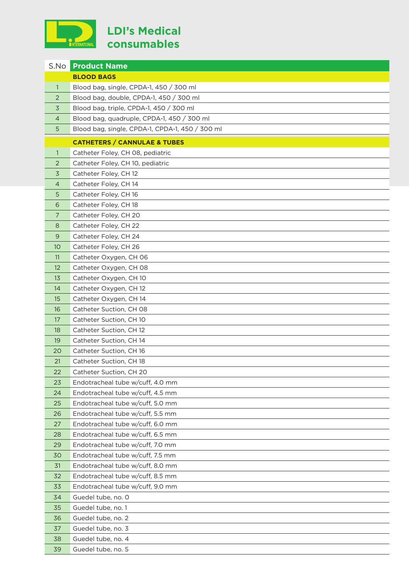

## **LDI's Medical consumables**

| S.No                                    | <b>Product Name</b>                                                  |  |
|-----------------------------------------|----------------------------------------------------------------------|--|
|                                         | <b>BLOOD BAGS</b>                                                    |  |
| 1                                       | Blood bag, single, CPDA-1, 450 / 300 ml                              |  |
| $\overline{2}$                          | Blood bag, double, CPDA-1, 450 / 300 ml                              |  |
| $\overline{3}$                          | Blood bag, triple, CPDA-1, 450 / 300 ml                              |  |
| $\overline{4}$                          | Blood bag, quadruple, CPDA-1, 450 / 300 ml                           |  |
| 5                                       | Blood bag, single, CPDA-1, CPDA-1, 450 / 300 ml                      |  |
| <b>CATHETERS / CANNULAE &amp; TUBES</b> |                                                                      |  |
| $\mathbf{1}$                            | Catheter Foley, CH 08, pediatric                                     |  |
| 2                                       | Catheter Foley, CH 10, pediatric                                     |  |
| 3                                       | Catheter Foley, CH 12                                                |  |
| 4                                       | Catheter Foley, CH 14                                                |  |
| 5                                       | Catheter Foley, CH 16                                                |  |
| 6                                       | Catheter Foley, CH 18                                                |  |
| $\overline{7}$                          | Catheter Foley, CH 20                                                |  |
| 8                                       | Catheter Foley, CH 22                                                |  |
| 9                                       | Catheter Foley, CH 24                                                |  |
| 10                                      | Catheter Foley, CH 26                                                |  |
| 11                                      | Catheter Oxygen, CH 06                                               |  |
| 12                                      | Catheter Oxygen, CH 08                                               |  |
| 13                                      | Catheter Oxygen, CH 10                                               |  |
| 14                                      | Catheter Oxygen, CH 12                                               |  |
| 15                                      | Catheter Oxygen, CH 14                                               |  |
| 16                                      | Catheter Suction, CH 08                                              |  |
| 17                                      | Catheter Suction, CH 10                                              |  |
| 18                                      | Catheter Suction, CH 12                                              |  |
| 19                                      | Catheter Suction, CH 14                                              |  |
| 20                                      | Catheter Suction, CH 16                                              |  |
| 21                                      | Catheter Suction, CH 18                                              |  |
| 22                                      | Catheter Suction, CH 20                                              |  |
| 23                                      | Endotracheal tube w/cuff, 4.0 mm                                     |  |
| 24                                      | Endotracheal tube w/cuff, 4.5 mm                                     |  |
| 25                                      | Endotracheal tube w/cuff, 5.0 mm                                     |  |
| 26                                      | Endotracheal tube w/cuff, 5.5 mm                                     |  |
| 27                                      | Endotracheal tube w/cuff, 6.0 mm                                     |  |
| 28<br>29                                | Endotracheal tube w/cuff, 6.5 mm<br>Endotracheal tube w/cuff, 7.0 mm |  |
| 30                                      | Endotracheal tube w/cuff, 7.5 mm                                     |  |
| 31                                      | Endotracheal tube w/cuff, 8.0 mm                                     |  |
| 32                                      | Endotracheal tube w/cuff, 8.5 mm                                     |  |
| 33                                      | Endotracheal tube w/cuff, 9.0 mm                                     |  |
| 34                                      | Guedel tube, no. 0                                                   |  |
| 35                                      | Guedel tube, no. 1                                                   |  |
| 36                                      | Guedel tube, no. 2                                                   |  |
| 37                                      | Guedel tube, no. 3                                                   |  |
| 38                                      | Guedel tube, no. 4                                                   |  |
| 39                                      | Guedel tube, no. 5                                                   |  |
|                                         |                                                                      |  |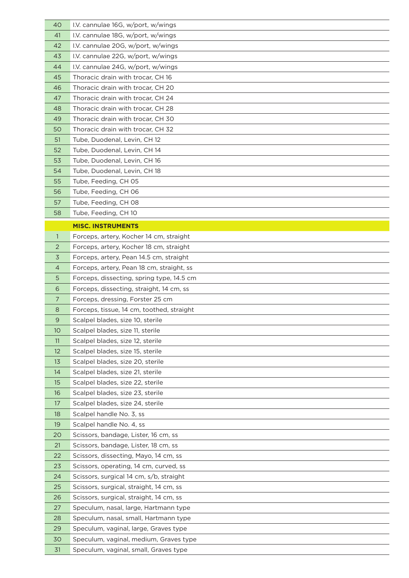| 40             | I.V. cannulae 16G, w/port, w/wings                                              |
|----------------|---------------------------------------------------------------------------------|
| 41             | I.V. cannulae 18G, w/port, w/wings                                              |
| 42             | I.V. cannulae 20G, w/port, w/wings                                              |
| 43             | I.V. cannulae 22G, w/port, w/wings                                              |
| 44             | I.V. cannulae 24G, w/port, w/wings                                              |
| 45             | Thoracic drain with trocar, CH 16                                               |
| 46             | Thoracic drain with trocar, CH 20                                               |
| 47             | Thoracic drain with trocar, CH 24                                               |
| 48             | Thoracic drain with trocar, CH 28                                               |
| 49             | Thoracic drain with trocar, CH 30                                               |
| 50             | Thoracic drain with trocar, CH 32                                               |
| 51             | Tube, Duodenal, Levin, CH 12                                                    |
| 52             | Tube, Duodenal, Levin, CH 14                                                    |
| 53             | Tube, Duodenal, Levin, CH 16                                                    |
| 54             | Tube, Duodenal, Levin, CH 18                                                    |
| 55             | Tube, Feeding, CH 05                                                            |
| 56             | Tube, Feeding, CH 06                                                            |
| 57             | Tube, Feeding, CH 08                                                            |
| 58             | Tube, Feeding, CH 10                                                            |
|                | <b>MISC. INSTRUMENTS</b>                                                        |
| $\mathbf{1}$   | Forceps, artery, Kocher 14 cm, straight                                         |
| 2              | Forceps, artery, Kocher 18 cm, straight                                         |
| 3              | Forceps, artery, Pean 14.5 cm, straight                                         |
| 4              | Forceps, artery, Pean 18 cm, straight, ss                                       |
| 5              | Forceps, dissecting, spring type, 14.5 cm                                       |
| 6              | Forceps, dissecting, straight, 14 cm, ss                                        |
| $\overline{7}$ | Forceps, dressing, Forster 25 cm                                                |
| 8              | Forceps, tissue, 14 cm, toothed, straight                                       |
| 9              | Scalpel blades, size 10, sterile                                                |
| 10             | Scalpel blades, size 11, sterile                                                |
| 11             | Scalpel blades, size 12, sterile                                                |
| 12             | Scalpel blades, size 15, sterile                                                |
| 13             | Scalpel blades, size 20, sterile                                                |
| 14             | Scalpel blades, size 21, sterile                                                |
| 15             | Scalpel blades, size 22, sterile                                                |
| 16             | Scalpel blades, size 23, sterile                                                |
| 17             | Scalpel blades, size 24, sterile                                                |
| 18             | Scalpel handle No. 3, ss                                                        |
| 19             | Scalpel handle No. 4, ss                                                        |
| 20             | Scissors, bandage, Lister, 16 cm, ss                                            |
| 21             | Scissors, bandage, Lister, 18 cm, ss                                            |
| 22             | Scissors, dissecting, Mayo, 14 cm, ss                                           |
| 23             | Scissors, operating, 14 cm, curved, ss                                          |
| 24             | Scissors, surgical 14 cm, s/b, straight                                         |
| 25             | Scissors, surgical, straight, 14 cm, ss                                         |
| 26             | Scissors, surgical, straight, 14 cm, ss                                         |
| 27             | Speculum, nasal, large, Hartmann type                                           |
| 28             | Speculum, nasal, small, Hartmann type                                           |
| 29             | Speculum, vaginal, large, Graves type                                           |
| 30             | Speculum, vaginal, medium, Graves type<br>Speculum, vaginal, small, Graves type |
| 31             |                                                                                 |